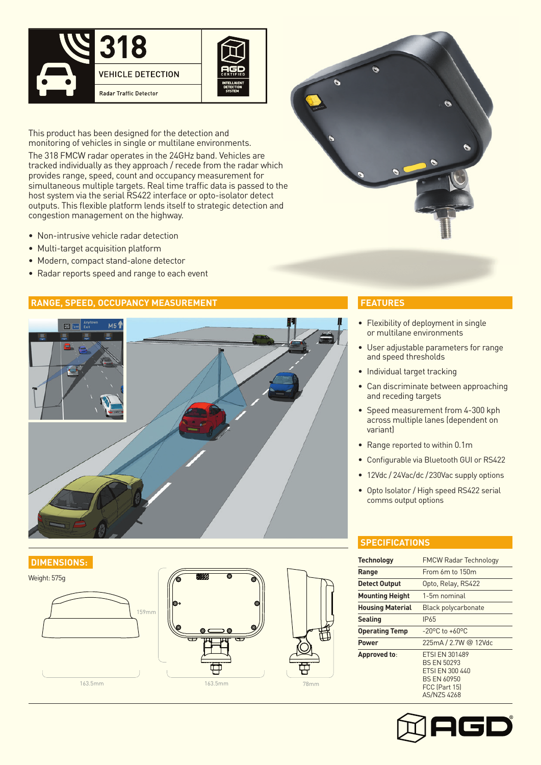

This product has been designed for the detection and monitoring of vehicles in single or multilane environments.

The 318 FMCW radar operates in the 24GHz band. Vehicles are tracked individually as they approach / recede from the radar which provides range, speed, count and occupancy measurement for simultaneous multiple targets. Real time traffic data is passed to the host system via the serial RS422 interface or opto-isolator detect outputs. This flexible platform lends itself to strategic detection and congestion management on the highway.

- Non-intrusive vehicle radar detection
- Multi-target acquisition platform
- Modern, compact stand-alone detector
- Radar reports speed and range to each event

## **RANGE, SPEED, OCCUPANCY MEASUREMENT**



## **DIMENSIONS:**







### **FEATURES**

- Flexibility of deployment in single or multilane environments
- User adjustable parameters for range and speed thresholds
- Individual target tracking
- Can discriminate between approaching and receding targets
- Speed measurement from 4-300 kph across multiple lanes (dependent on variant)
- Range reported to within 0.1m
- Configurable via Bluetooth GUI or RS422
- 12Vdc / 24Vac/dc /230Vac supply options
- Opto Isolator / High speed RS422 serial comms output options

## **SPECIFICATIONS**

| <b>Technology</b>       | <b>FMCW Radar Technology</b>                                                                                                |
|-------------------------|-----------------------------------------------------------------------------------------------------------------------------|
| Range                   | From 6m to 150m                                                                                                             |
| <b>Detect Output</b>    | Opto, Relay, RS422                                                                                                          |
| <b>Mounting Height</b>  | 1-5m nominal                                                                                                                |
| <b>Housing Material</b> | <b>Black polycarbonate</b>                                                                                                  |
| <b>Sealing</b>          | IP65                                                                                                                        |
| <b>Operating Temp</b>   | $-20^{\circ}$ C to $+60^{\circ}$ C                                                                                          |
| <b>Power</b>            | 225mA / 2.7W @ 12Vdc                                                                                                        |
| Approved to:            | <b>ETSI EN 301489</b><br><b>BS FN 50293</b><br>FTSI FN 300 440<br><b>BS EN 60950</b><br>FCC (Part 15)<br><b>AS/NZS 4268</b> |